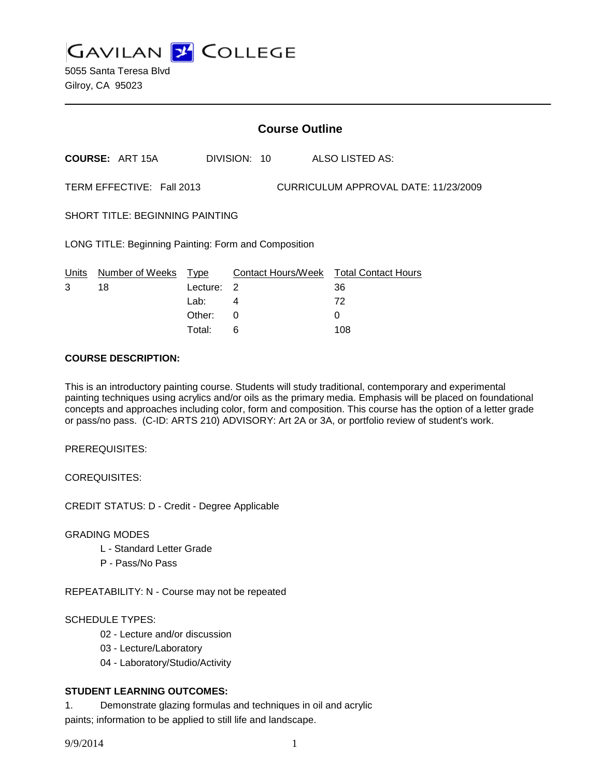**GAVILAN Z COLLEGE** 

|                                                                   | <b>Course Outline</b>  |          |                |                                        |
|-------------------------------------------------------------------|------------------------|----------|----------------|----------------------------------------|
|                                                                   | <b>COURSE: ART 15A</b> |          | DIVISION: 10   | ALSO LISTED AS:                        |
| TERM EFFECTIVE: Fall 2013<br>CURRICULUM APPROVAL DATE: 11/23/2009 |                        |          |                |                                        |
| <b>SHORT TITLE: BEGINNING PAINTING</b>                            |                        |          |                |                                        |
| LONG TITLE: Beginning Painting: Form and Composition              |                        |          |                |                                        |
| Units                                                             | Number of Weeks        | Type     |                | Contact Hours/Week Total Contact Hours |
| 3                                                                 | 18                     | Lecture: | $\overline{2}$ | 36                                     |
|                                                                   |                        | Lab:     | 4              | 72                                     |
|                                                                   |                        | Other:   | 0              | 0                                      |
|                                                                   |                        | Total:   | 6              | 108                                    |

## **COURSE DESCRIPTION:**

This is an introductory painting course. Students will study traditional, contemporary and experimental painting techniques using acrylics and/or oils as the primary media. Emphasis will be placed on foundational concepts and approaches including color, form and composition. This course has the option of a letter grade or pass/no pass. (C-ID: ARTS 210) ADVISORY: Art 2A or 3A, or portfolio review of student's work.

PREREQUISITES:

COREQUISITES:

CREDIT STATUS: D - Credit - Degree Applicable

GRADING MODES

- L Standard Letter Grade
- P Pass/No Pass

REPEATABILITY: N - Course may not be repeated

SCHEDULE TYPES:

- 02 Lecture and/or discussion
- 03 Lecture/Laboratory
- 04 Laboratory/Studio/Activity

## **STUDENT LEARNING OUTCOMES:**

1. Demonstrate glazing formulas and techniques in oil and acrylic paints; information to be applied to still life and landscape.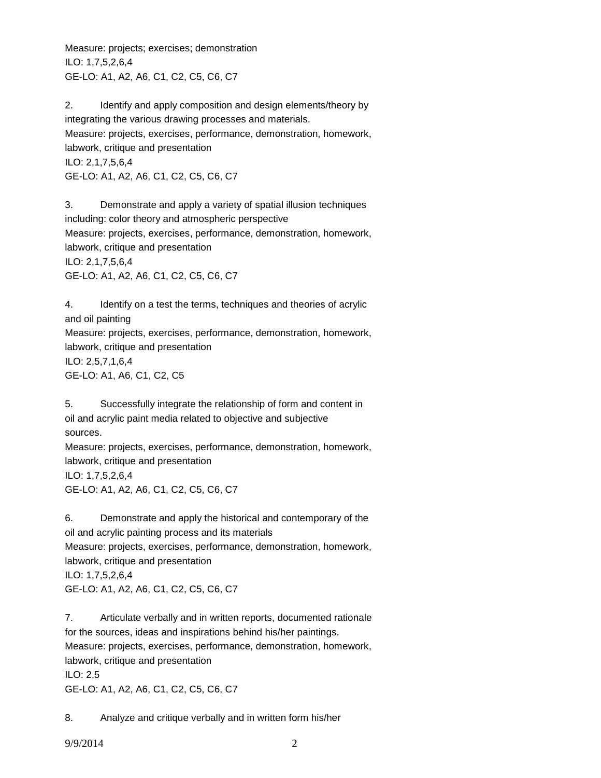Measure: projects; exercises; demonstration ILO: 1,7,5,2,6,4 GE-LO: A1, A2, A6, C1, C2, C5, C6, C7

2. Identify and apply composition and design elements/theory by integrating the various drawing processes and materials. Measure: projects, exercises, performance, demonstration, homework, labwork, critique and presentation ILO: 2,1,7,5,6,4 GE-LO: A1, A2, A6, C1, C2, C5, C6, C7

3. Demonstrate and apply a variety of spatial illusion techniques including: color theory and atmospheric perspective Measure: projects, exercises, performance, demonstration, homework, labwork, critique and presentation ILO: 2,1,7,5,6,4 GE-LO: A1, A2, A6, C1, C2, C5, C6, C7

4. Identify on a test the terms, techniques and theories of acrylic and oil painting Measure: projects, exercises, performance, demonstration, homework, labwork, critique and presentation ILO: 2,5,7,1,6,4 GE-LO: A1, A6, C1, C2, C5

5. Successfully integrate the relationship of form and content in oil and acrylic paint media related to objective and subjective sources. Measure: projects, exercises, performance, demonstration, homework, labwork, critique and presentation ILO: 1,7,5,2,6,4 GE-LO: A1, A2, A6, C1, C2, C5, C6, C7

6. Demonstrate and apply the historical and contemporary of the oil and acrylic painting process and its materials Measure: projects, exercises, performance, demonstration, homework, labwork, critique and presentation ILO: 1,7,5,2,6,4 GE-LO: A1, A2, A6, C1, C2, C5, C6, C7

7. Articulate verbally and in written reports, documented rationale for the sources, ideas and inspirations behind his/her paintings. Measure: projects, exercises, performance, demonstration, homework, labwork, critique and presentation ILO: 2,5 GE-LO: A1, A2, A6, C1, C2, C5, C6, C7

8. Analyze and critique verbally and in written form his/her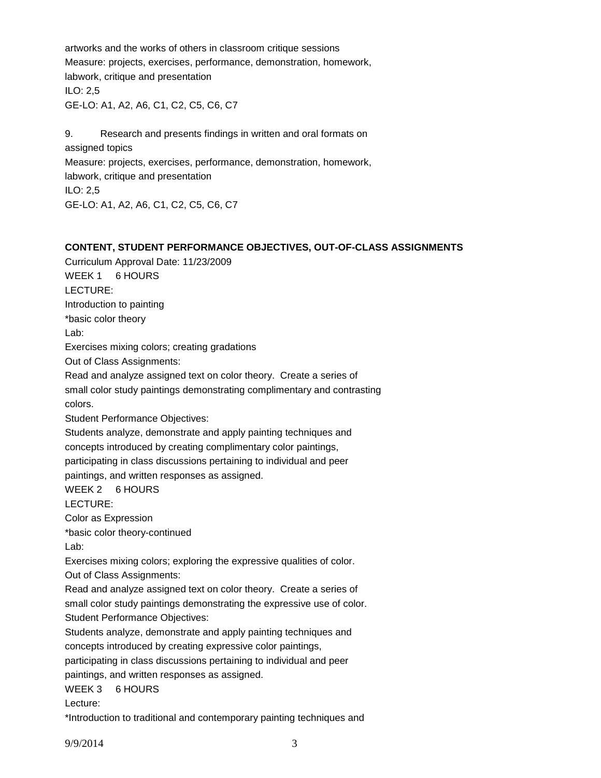artworks and the works of others in classroom critique sessions Measure: projects, exercises, performance, demonstration, homework, labwork, critique and presentation ILO: 2,5 GE-LO: A1, A2, A6, C1, C2, C5, C6, C7

9. Research and presents findings in written and oral formats on assigned topics Measure: projects, exercises, performance, demonstration, homework, labwork, critique and presentation ILO: 2,5 GE-LO: A1, A2, A6, C1, C2, C5, C6, C7

## **CONTENT, STUDENT PERFORMANCE OBJECTIVES, OUT-OF-CLASS ASSIGNMENTS**

Curriculum Approval Date: 11/23/2009 WEEK 1 6 HOURS LECTURE: Introduction to painting \*basic color theory Lab: Exercises mixing colors; creating gradations Out of Class Assignments: Read and analyze assigned text on color theory. Create a series of small color study paintings demonstrating complimentary and contrasting colors. Student Performance Objectives: Students analyze, demonstrate and apply painting techniques and concepts introduced by creating complimentary color paintings, participating in class discussions pertaining to individual and peer paintings, and written responses as assigned. WEEK 2 6 HOURS LECTURE: Color as Expression \*basic color theory-continued Lab: Exercises mixing colors; exploring the expressive qualities of color. Out of Class Assignments: Read and analyze assigned text on color theory. Create a series of small color study paintings demonstrating the expressive use of color. Student Performance Objectives: Students analyze, demonstrate and apply painting techniques and concepts introduced by creating expressive color paintings, participating in class discussions pertaining to individual and peer paintings, and written responses as assigned. WEEK 3 6 HOURS Lecture: \*Introduction to traditional and contemporary painting techniques and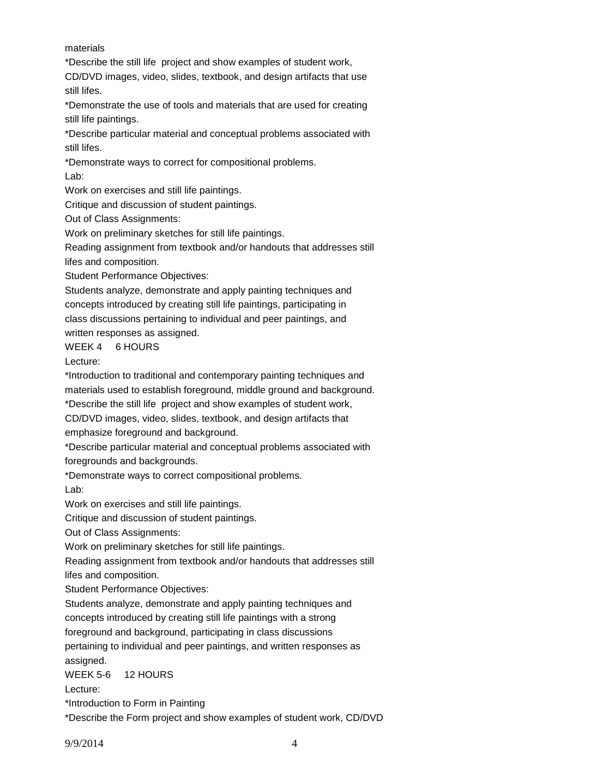materials

\*Describe the still life project and show examples of student work,

CD/DVD images, video, slides, textbook, and design artifacts that use still lifes.

\*Demonstrate the use of tools and materials that are used for creating still life paintings.

\*Describe particular material and conceptual problems associated with still lifes.

\*Demonstrate ways to correct for compositional problems.

Lab:

Work on exercises and still life paintings.

Critique and discussion of student paintings.

Out of Class Assignments:

Work on preliminary sketches for still life paintings.

Reading assignment from textbook and/or handouts that addresses still lifes and composition.

Student Performance Objectives:

Students analyze, demonstrate and apply painting techniques and concepts introduced by creating still life paintings, participating in class discussions pertaining to individual and peer paintings, and written responses as assigned.

WEEK 4 6 HOURS

Lecture:

\*Introduction to traditional and contemporary painting techniques and materials used to establish foreground, middle ground and background.

\*Describe the still life project and show examples of student work,

CD/DVD images, video, slides, textbook, and design artifacts that emphasize foreground and background.

\*Describe particular material and conceptual problems associated with foregrounds and backgrounds.

\*Demonstrate ways to correct compositional problems.

Lab:

Work on exercises and still life paintings.

Critique and discussion of student paintings.

Out of Class Assignments:

Work on preliminary sketches for still life paintings.

Reading assignment from textbook and/or handouts that addresses still lifes and composition.

Student Performance Objectives:

Students analyze, demonstrate and apply painting techniques and

concepts introduced by creating still life paintings with a strong

foreground and background, participating in class discussions

pertaining to individual and peer paintings, and written responses as assigned.

WEEK 5-6 12 HOURS

Lecture:

\*Introduction to Form in Painting

\*Describe the Form project and show examples of student work, CD/DVD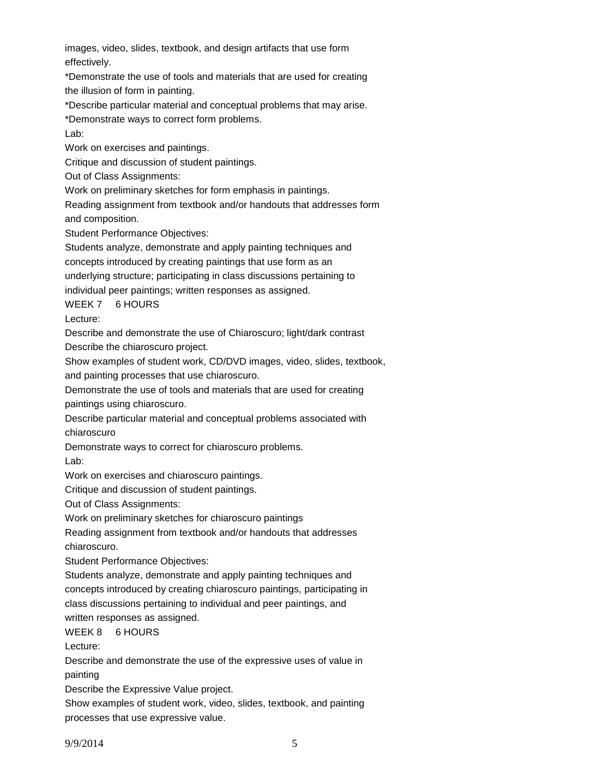images, video, slides, textbook, and design artifacts that use form effectively.

\*Demonstrate the use of tools and materials that are used for creating the illusion of form in painting.

\*Describe particular material and conceptual problems that may arise.

\*Demonstrate ways to correct form problems.

Lab:

Work on exercises and paintings.

Critique and discussion of student paintings.

Out of Class Assignments:

Work on preliminary sketches for form emphasis in paintings.

Reading assignment from textbook and/or handouts that addresses form and composition.

Student Performance Objectives:

Students analyze, demonstrate and apply painting techniques and

concepts introduced by creating paintings that use form as an

underlying structure; participating in class discussions pertaining to

individual peer paintings; written responses as assigned.

WEEK 7 6 HOURS

Lecture:

Describe and demonstrate the use of Chiaroscuro; light/dark contrast Describe the chiaroscuro project.

Show examples of student work, CD/DVD images, video, slides, textbook,

and painting processes that use chiaroscuro.

Demonstrate the use of tools and materials that are used for creating paintings using chiaroscuro.

Describe particular material and conceptual problems associated with chiaroscuro

Demonstrate ways to correct for chiaroscuro problems.

Lab:

Work on exercises and chiaroscuro paintings.

Critique and discussion of student paintings.

Out of Class Assignments:

Work on preliminary sketches for chiaroscuro paintings

Reading assignment from textbook and/or handouts that addresses chiaroscuro.

Student Performance Objectives:

Students analyze, demonstrate and apply painting techniques and concepts introduced by creating chiaroscuro paintings, participating in class discussions pertaining to individual and peer paintings, and written responses as assigned.

WEEK 8 6 HOURS

Lecture:

Describe and demonstrate the use of the expressive uses of value in painting

Describe the Expressive Value project.

Show examples of student work, video, slides, textbook, and painting processes that use expressive value.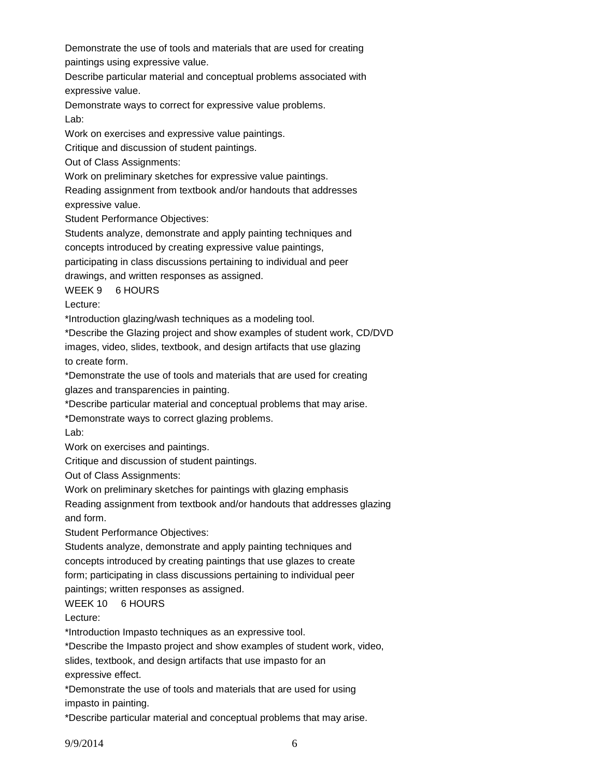Demonstrate the use of tools and materials that are used for creating paintings using expressive value.

Describe particular material and conceptual problems associated with expressive value.

Demonstrate ways to correct for expressive value problems. Lab:

Work on exercises and expressive value paintings.

Critique and discussion of student paintings.

Out of Class Assignments:

Work on preliminary sketches for expressive value paintings.

Reading assignment from textbook and/or handouts that addresses

expressive value.

Student Performance Objectives:

Students analyze, demonstrate and apply painting techniques and

concepts introduced by creating expressive value paintings,

participating in class discussions pertaining to individual and peer

drawings, and written responses as assigned.

WEEK 9 6 HOURS

Lecture:

\*Introduction glazing/wash techniques as a modeling tool.

\*Describe the Glazing project and show examples of student work, CD/DVD images, video, slides, textbook, and design artifacts that use glazing to create form.

\*Demonstrate the use of tools and materials that are used for creating glazes and transparencies in painting.

\*Describe particular material and conceptual problems that may arise.

\*Demonstrate ways to correct glazing problems.

Lab:

Work on exercises and paintings.

Critique and discussion of student paintings.

Out of Class Assignments:

Work on preliminary sketches for paintings with glazing emphasis

Reading assignment from textbook and/or handouts that addresses glazing and form.

Student Performance Objectives:

Students analyze, demonstrate and apply painting techniques and concepts introduced by creating paintings that use glazes to create form; participating in class discussions pertaining to individual peer paintings; written responses as assigned.

WEEK 10 6 HOURS

Lecture:

\*Introduction Impasto techniques as an expressive tool.

\*Describe the Impasto project and show examples of student work, video,

slides, textbook, and design artifacts that use impasto for an

expressive effect.

\*Demonstrate the use of tools and materials that are used for using impasto in painting.

\*Describe particular material and conceptual problems that may arise.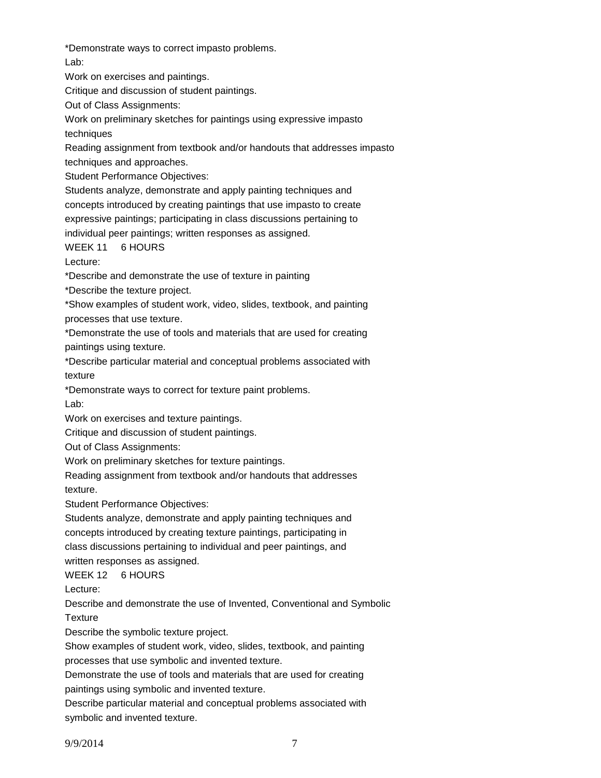\*Demonstrate ways to correct impasto problems.

Lab:

Work on exercises and paintings.

Critique and discussion of student paintings.

Out of Class Assignments:

Work on preliminary sketches for paintings using expressive impasto techniques

Reading assignment from textbook and/or handouts that addresses impasto techniques and approaches.

Student Performance Objectives:

Students analyze, demonstrate and apply painting techniques and concepts introduced by creating paintings that use impasto to create expressive paintings; participating in class discussions pertaining to individual peer paintings; written responses as assigned.

WEEK 11 6 HOURS

Lecture:

\*Describe and demonstrate the use of texture in painting

\*Describe the texture project.

\*Show examples of student work, video, slides, textbook, and painting processes that use texture.

\*Demonstrate the use of tools and materials that are used for creating paintings using texture.

\*Describe particular material and conceptual problems associated with texture

\*Demonstrate ways to correct for texture paint problems.

Lab:

Work on exercises and texture paintings.

Critique and discussion of student paintings.

Out of Class Assignments:

Work on preliminary sketches for texture paintings.

Reading assignment from textbook and/or handouts that addresses texture.

Student Performance Objectives:

Students analyze, demonstrate and apply painting techniques and concepts introduced by creating texture paintings, participating in class discussions pertaining to individual and peer paintings, and written responses as assigned.

WEEK 12 6 HOURS

Lecture:

Describe and demonstrate the use of Invented, Conventional and Symbolic **Texture** 

Describe the symbolic texture project.

Show examples of student work, video, slides, textbook, and painting processes that use symbolic and invented texture.

Demonstrate the use of tools and materials that are used for creating paintings using symbolic and invented texture.

Describe particular material and conceptual problems associated with symbolic and invented texture.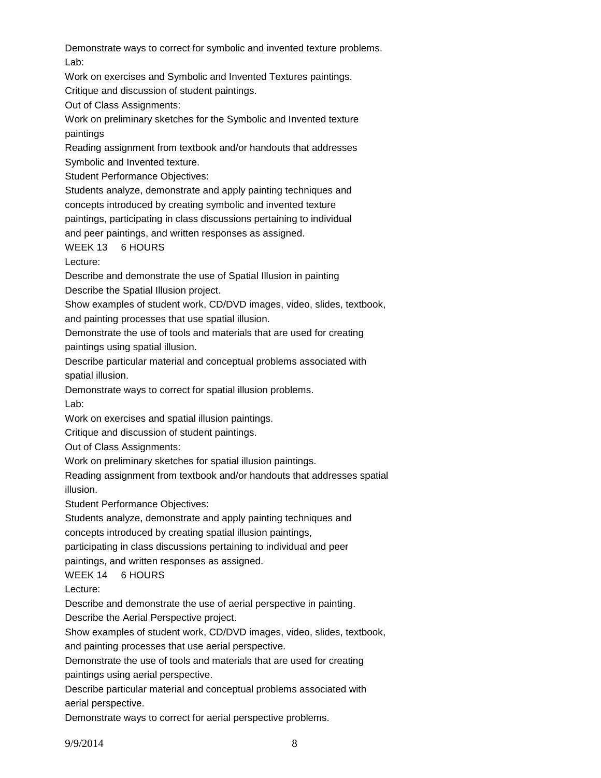Demonstrate ways to correct for symbolic and invented texture problems. Lab:

Work on exercises and Symbolic and Invented Textures paintings.

Critique and discussion of student paintings.

Out of Class Assignments:

Work on preliminary sketches for the Symbolic and Invented texture paintings

Reading assignment from textbook and/or handouts that addresses Symbolic and Invented texture.

Student Performance Objectives:

Students analyze, demonstrate and apply painting techniques and concepts introduced by creating symbolic and invented texture

paintings, participating in class discussions pertaining to individual

and peer paintings, and written responses as assigned.

WEEK 13 6 HOURS

Lecture:

Describe and demonstrate the use of Spatial Illusion in painting

Describe the Spatial Illusion project.

Show examples of student work, CD/DVD images, video, slides, textbook, and painting processes that use spatial illusion.

Demonstrate the use of tools and materials that are used for creating paintings using spatial illusion.

Describe particular material and conceptual problems associated with spatial illusion.

Demonstrate ways to correct for spatial illusion problems.

Lab:

Work on exercises and spatial illusion paintings.

Critique and discussion of student paintings.

Out of Class Assignments:

Work on preliminary sketches for spatial illusion paintings.

Reading assignment from textbook and/or handouts that addresses spatial illusion.

Student Performance Objectives:

Students analyze, demonstrate and apply painting techniques and concepts introduced by creating spatial illusion paintings,

participating in class discussions pertaining to individual and peer

paintings, and written responses as assigned.

WEEK 14 6 HOURS

Lecture:

Describe and demonstrate the use of aerial perspective in painting.

Describe the Aerial Perspective project.

Show examples of student work, CD/DVD images, video, slides, textbook,

and painting processes that use aerial perspective.

Demonstrate the use of tools and materials that are used for creating

paintings using aerial perspective.

Describe particular material and conceptual problems associated with aerial perspective.

Demonstrate ways to correct for aerial perspective problems.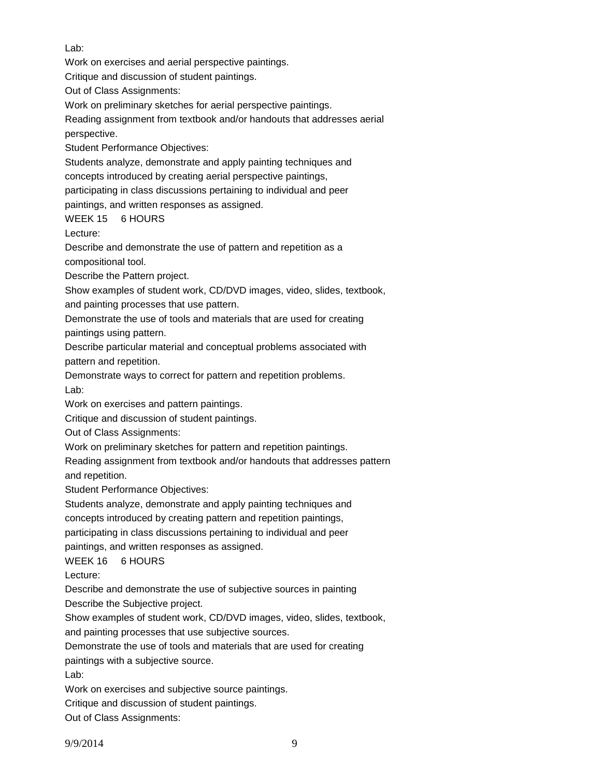Lab:

Work on exercises and aerial perspective paintings.

Critique and discussion of student paintings.

Out of Class Assignments:

Work on preliminary sketches for aerial perspective paintings.

Reading assignment from textbook and/or handouts that addresses aerial perspective.

Student Performance Objectives:

Students analyze, demonstrate and apply painting techniques and concepts introduced by creating aerial perspective paintings,

participating in class discussions pertaining to individual and peer

paintings, and written responses as assigned.

WEEK 15 6 HOURS

Lecture:

Describe and demonstrate the use of pattern and repetition as a compositional tool.

Describe the Pattern project.

Show examples of student work, CD/DVD images, video, slides, textbook, and painting processes that use pattern.

Demonstrate the use of tools and materials that are used for creating paintings using pattern.

Describe particular material and conceptual problems associated with pattern and repetition.

Demonstrate ways to correct for pattern and repetition problems. Lab:

Work on exercises and pattern paintings.

Critique and discussion of student paintings.

Out of Class Assignments:

Work on preliminary sketches for pattern and repetition paintings.

Reading assignment from textbook and/or handouts that addresses pattern and repetition.

Student Performance Objectives:

Students analyze, demonstrate and apply painting techniques and

concepts introduced by creating pattern and repetition paintings,

participating in class discussions pertaining to individual and peer

paintings, and written responses as assigned.

WEEK 16 6 HOURS

Lecture:

Describe and demonstrate the use of subjective sources in painting

Describe the Subjective project.

Show examples of student work, CD/DVD images, video, slides, textbook,

and painting processes that use subjective sources.

Demonstrate the use of tools and materials that are used for creating

paintings with a subjective source.

Lab:

Work on exercises and subjective source paintings.

Critique and discussion of student paintings.

Out of Class Assignments: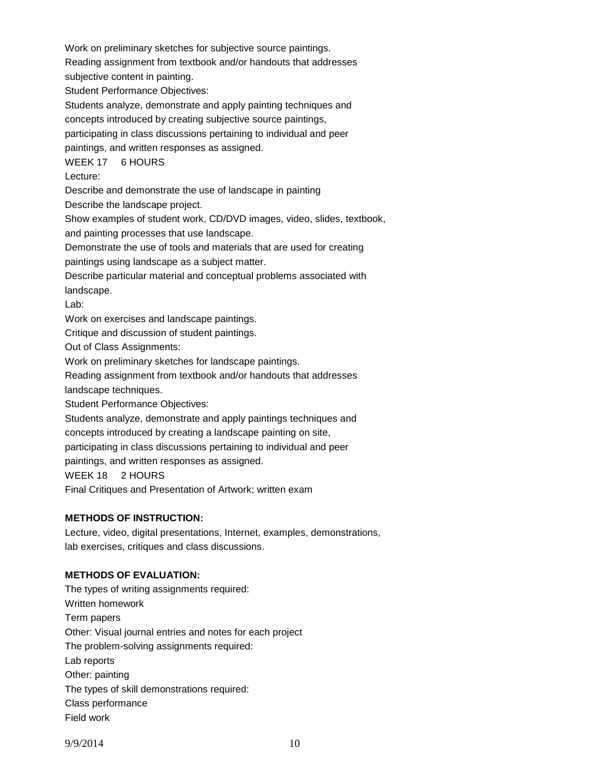Work on preliminary sketches for subjective source paintings.

Reading assignment from textbook and/or handouts that addresses

subjective content in painting.

Student Performance Objectives:

Students analyze, demonstrate and apply painting techniques and

concepts introduced by creating subjective source paintings,

participating in class discussions pertaining to individual and peer

paintings, and written responses as assigned.

WEEK 17 6 HOURS

Lecture:

Describe and demonstrate the use of landscape in painting

Describe the landscape project.

Show examples of student work, CD/DVD images, video, slides, textbook,

and painting processes that use landscape.

Demonstrate the use of tools and materials that are used for creating

paintings using landscape as a subject matter.

Describe particular material and conceptual problems associated with landscape.

Lab:

Work on exercises and landscape paintings.

Critique and discussion of student paintings.

Out of Class Assignments:

Work on preliminary sketches for landscape paintings.

Reading assignment from textbook and/or handouts that addresses landscape techniques.

Student Performance Objectives:

Students analyze, demonstrate and apply paintings techniques and concepts introduced by creating a landscape painting on site,

participating in class discussions pertaining to individual and peer

paintings, and written responses as assigned.

WEEK 18 2 HOURS

Final Critiques and Presentation of Artwork; written exam

## **METHODS OF INSTRUCTION:**

Lecture, video, digital presentations, Internet, examples, demonstrations, lab exercises, critiques and class discussions.

# **METHODS OF EVALUATION:**

The types of writing assignments required: Written homework Term papers Other: Visual journal entries and notes for each project The problem-solving assignments required: Lab reports Other: painting The types of skill demonstrations required: Class performance Field work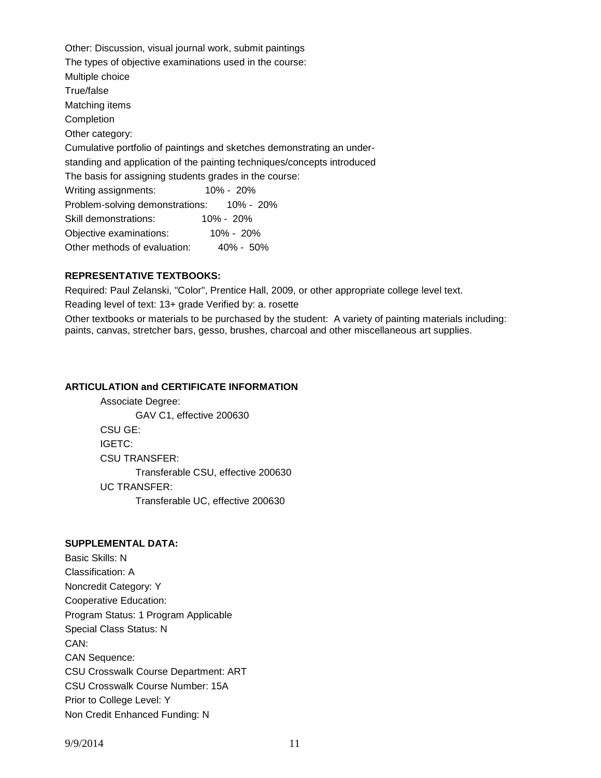Other: Discussion, visual journal work, submit paintings The types of objective examinations used in the course: Multiple choice True/false Matching items Completion Other category: Cumulative portfolio of paintings and sketches demonstrating an understanding and application of the painting techniques/concepts introduced The basis for assigning students grades in the course: Writing assignments: 10% - 20% Problem-solving demonstrations: 10% - 20% Skill demonstrations: 10% - 20% Objective examinations: 10% - 20% Other methods of evaluation: 40% - 50%

## **REPRESENTATIVE TEXTBOOKS:**

Required: Paul Zelanski, "Color", Prentice Hall, 2009, or other appropriate college level text.

Reading level of text: 13+ grade Verified by: a. rosette

Other textbooks or materials to be purchased by the student: A variety of painting materials including: paints, canvas, stretcher bars, gesso, brushes, charcoal and other miscellaneous art supplies.

#### **ARTICULATION and CERTIFICATE INFORMATION**

Associate Degree: GAV C1, effective 200630 CSU GE: IGETC: CSU TRANSFER: Transferable CSU, effective 200630 UC TRANSFER: Transferable UC, effective 200630

### **SUPPLEMENTAL DATA:**

Basic Skills: N Classification: A Noncredit Category: Y Cooperative Education: Program Status: 1 Program Applicable Special Class Status: N CAN: CAN Sequence: CSU Crosswalk Course Department: ART CSU Crosswalk Course Number: 15A Prior to College Level: Y Non Credit Enhanced Funding: N